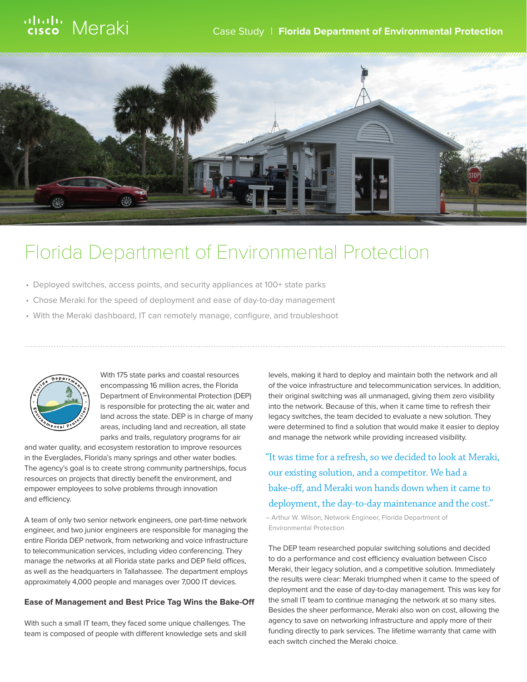# ululu Meraki

## Case Study | **Florida Department of Environmental Protection**



# Florida Department of Environmental Protection

- Deployed switches, access points, and security appliances at 100+ state parks
- Chose Meraki for the speed of deployment and ease of day-to-day management
- With the Meraki dashboard, IT can remotely manage, configure, and troubleshoot



With 175 state parks and coastal resources encompassing 16 million acres, the Florida Department of Environmental Protection (DEP) is responsible for protecting the air, water and land across the state. DEP is in charge of many areas, including land and recreation, all state parks and trails, regulatory programs for air

and water quality, and ecosystem restoration to improve resources in the Everglades, Florida's many springs and other water bodies. The agency's goal is to create strong community partnerships, focus resources on projects that directly benefit the environment, and empower employees to solve problems through innovation and efficiency.

A team of only two senior network engineers, one part-time network engineer, and two junior engineers are responsible for managing the entire Florida DEP network, from networking and voice infrastructure to telecommunication services, including video conferencing. They manage the networks at all Florida state parks and DEP field offices, as well as the headquarters in Tallahassee. The department employs approximately 4,000 people and manages over 7,000 IT devices.

#### **Ease of Management and Best Price Tag Wins the Bake-Off**

With such a small IT team, they faced some unique challenges. The team is composed of people with different knowledge sets and skill levels, making it hard to deploy and maintain both the network and all of the voice infrastructure and telecommunication services. In addition, their original switching was all unmanaged, giving them zero visibility into the network. Because of this, when it came time to refresh their legacy switches, the team decided to evaluate a new solution. They were determined to find a solution that would make it easier to deploy and manage the network while providing increased visibility.

"It was time for a refresh, so we decided to look at Meraki, our existing solution, and a competitor. We had a bake-off, and Meraki won hands down when it came to deployment, the day-to-day maintenance and the cost."

– Arthur W. Wilson, Network Engineer, Florida Department of Environmental Protection

The DEP team researched popular switching solutions and decided to do a performance and cost efficiency evaluation between Cisco Meraki, their legacy solution, and a competitive solution. Immediately the results were clear: Meraki triumphed when it came to the speed of deployment and the ease of day-to-day management. This was key for the small IT team to continue managing the network at so many sites. Besides the sheer performance, Meraki also won on cost, allowing the agency to save on networking infrastructure and apply more of their funding directly to park services. The lifetime warranty that came with each switch cinched the Meraki choice.